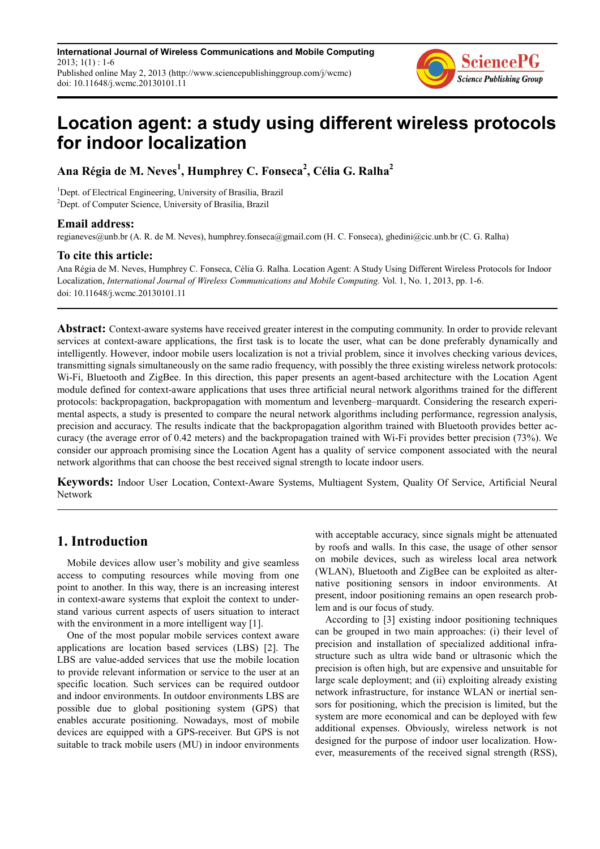**International Journal of Wireless Communications and Mobile Computing**  $2013$ ;  $1(1)$  : 1-6 Published online May 2, 2013 (http://www.sciencepublishinggroup.com/j/wcmc) doi: 10.11648/j.wcmc.20130101.11



# **Location agent: a study using different wireless protocols for indoor localization**

**Ana Régia de M. Neves<sup>1</sup> , Humphrey C. Fonseca<sup>2</sup> , Célia G. Ralha<sup>2</sup>**

<sup>1</sup>Dept. of Electrical Engineering, University of Brasília, Brazil <sup>2</sup>Dept. of Computer Science, University of Brasília, Brazil

#### **Email address:**

regianeves@unb.br (A. R. de M. Neves), humphrey.fonseca@gmail.com (H. C. Fonseca), ghedini@cic.unb.br (C. G. Ralha)

#### **To cite this article:**

Ana Régia de M. Neves, Humphrey C. Fonseca, Célia G. Ralha. Location Agent: A Study Using Different Wireless Protocols for Indoor Localization, *International Journal of Wireless Communications and Mobile Computing.* Vol. 1, No. 1, 2013, pp. 1-6. doi: 10.11648/j.wcmc.20130101.11

**Abstract:** Context-aware systems have received greater interest in the computing community. In order to provide relevant services at context-aware applications, the first task is to locate the user, what can be done preferably dynamically and intelligently. However, indoor mobile users localization is not a trivial problem, since it involves checking various devices, transmitting signals simultaneously on the same radio frequency, with possibly the three existing wireless network protocols: Wi-Fi, Bluetooth and ZigBee. In this direction, this paper presents an agent-based architecture with the Location Agent module defined for context-aware applications that uses three artificial neural network algorithms trained for the different protocols: backpropagation, backpropagation with momentum and levenberg–marquardt. Considering the research experimental aspects, a study is presented to compare the neural network algorithms including performance, regression analysis, precision and accuracy. The results indicate that the backpropagation algorithm trained with Bluetooth provides better accuracy (the average error of 0.42 meters) and the backpropagation trained with Wi-Fi provides better precision (73%). We consider our approach promising since the Location Agent has a quality of service component associated with the neural network algorithms that can choose the best received signal strength to locate indoor users.

**Keywords:** Indoor User Location, Context-Aware Systems, Multiagent System, Quality Of Service, Artificial Neural Network

## **1. Introduction**

Mobile devices allow user's mobility and give seamless access to computing resources while moving from one point to another. In this way, there is an increasing interest in context-aware systems that exploit the context to understand various current aspects of users situation to interact with the environment in a more intelligent way [1].

One of the most popular mobile services context aware applications are location based services (LBS) [2]. The LBS are value-added services that use the mobile location to provide relevant information or service to the user at an specific location. Such services can be required outdoor and indoor environments. In outdoor environments LBS are possible due to global positioning system (GPS) that enables accurate positioning. Nowadays, most of mobile devices are equipped with a GPS-receiver. But GPS is not suitable to track mobile users (MU) in indoor environments with acceptable accuracy, since signals might be attenuated by roofs and walls. In this case, the usage of other sensor on mobile devices, such as wireless local area network (WLAN), Bluetooth and ZigBee can be exploited as alternative positioning sensors in indoor environments. At present, indoor positioning remains an open research problem and is our focus of study.

According to [3] existing indoor positioning techniques can be grouped in two main approaches: (i) their level of precision and installation of specialized additional infrastructure such as ultra wide band or ultrasonic which the precision is often high, but are expensive and unsuitable for large scale deployment; and (ii) exploiting already existing network infrastructure, for instance WLAN or inertial sensors for positioning, which the precision is limited, but the system are more economical and can be deployed with few additional expenses. Obviously, wireless network is not designed for the purpose of indoor user localization. However, measurements of the received signal strength (RSS),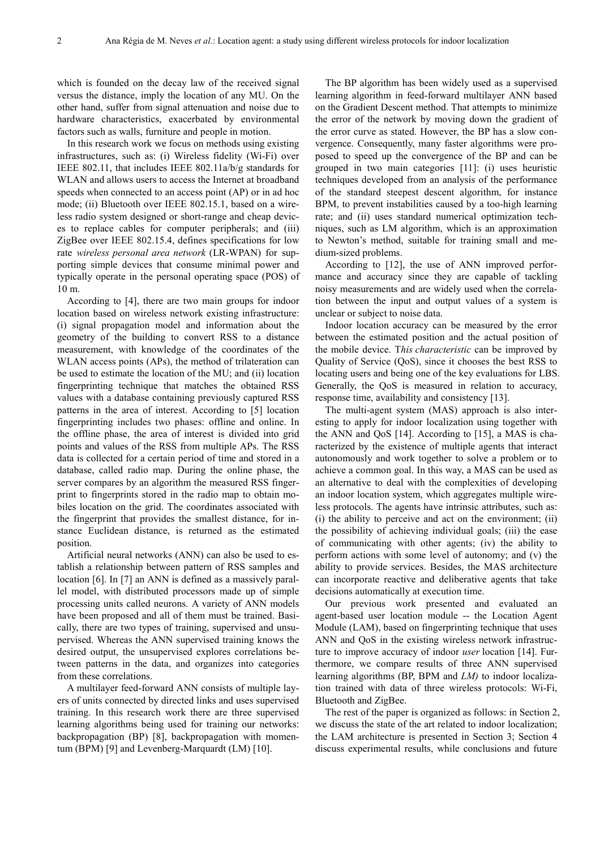which is founded on the decay law of the received signal versus the distance, imply the location of any MU. On the other hand, suffer from signal attenuation and noise due to hardware characteristics, exacerbated by environmental factors such as walls, furniture and people in motion.

In this research work we focus on methods using existing infrastructures, such as: (i) Wireless fidelity (Wi-Fi) over IEEE 802.11, that includes IEEE 802.11a/b/g standards for WLAN and allows users to access the Internet at broadband speeds when connected to an access point (AP) or in ad hoc mode; (ii) Bluetooth over IEEE 802.15.1, based on a wireless radio system designed or short-range and cheap devices to replace cables for computer peripherals; and (iii) ZigBee over IEEE 802.15.4, defines specifications for low rate *wireless personal area network* (LR-WPAN) for supporting simple devices that consume minimal power and typically operate in the personal operating space (POS) of 10 m.

According to [4], there are two main groups for indoor location based on wireless network existing infrastructure: (i) signal propagation model and information about the geometry of the building to convert RSS to a distance measurement, with knowledge of the coordinates of the WLAN access points (APs), the method of trilateration can be used to estimate the location of the MU; and (ii) location fingerprinting technique that matches the obtained RSS values with a database containing previously captured RSS patterns in the area of interest. According to [5] location fingerprinting includes two phases: offline and online. In the offline phase, the area of interest is divided into grid points and values of the RSS from multiple APs. The RSS data is collected for a certain period of time and stored in a database, called radio map. During the online phase, the server compares by an algorithm the measured RSS fingerprint to fingerprints stored in the radio map to obtain mobiles location on the grid. The coordinates associated with the fingerprint that provides the smallest distance, for instance Euclidean distance, is returned as the estimated position.

Artificial neural networks (ANN) can also be used to establish a relationship between pattern of RSS samples and location [6]. In [7] an ANN is defined as a massively parallel model, with distributed processors made up of simple processing units called neurons. A variety of ANN models have been proposed and all of them must be trained. Basically, there are two types of training, supervised and unsupervised. Whereas the ANN supervised training knows the desired output, the unsupervised explores correlations between patterns in the data, and organizes into categories from these correlations.

A multilayer feed-forward ANN consists of multiple layers of units connected by directed links and uses supervised training. In this research work there are three supervised learning algorithms being used for training our networks: backpropagation (BP) [8], backpropagation with momentum (BPM) [9] and Levenberg-Marquardt (LM) [10].

The BP algorithm has been widely used as a supervised learning algorithm in feed-forward multilayer ANN based on the Gradient Descent method. That attempts to minimize the error of the network by moving down the gradient of the error curve as stated. However, the BP has a slow convergence. Consequently, many faster algorithms were proposed to speed up the convergence of the BP and can be grouped in two main categories [11]: (i) uses heuristic techniques developed from an analysis of the performance of the standard steepest descent algorithm, for instance BPM, to prevent instabilities caused by a too-high learning rate; and (ii) uses standard numerical optimization techniques, such as LM algorithm, which is an approximation to Newton's method, suitable for training small and medium-sized problems.

According to [12], the use of ANN improved performance and accuracy since they are capable of tackling noisy measurements and are widely used when the correlation between the input and output values of a system is unclear or subject to noise data.

Indoor location accuracy can be measured by the error between the estimated position and the actual position of the mobile device. T*his characteristic* can be improved by Quality of Service (QoS), since it chooses the best RSS to locating users and being one of the key evaluations for LBS. Generally, the QoS is measured in relation to accuracy, response time, availability and consistency [13].

The multi-agent system (MAS) approach is also interesting to apply for indoor localization using together with the ANN and QoS [14]. According to [15], a MAS is characterized by the existence of multiple agents that interact autonomously and work together to solve a problem or to achieve a common goal. In this way, a MAS can be used as an alternative to deal with the complexities of developing an indoor location system, which aggregates multiple wireless protocols. The agents have intrinsic attributes, such as: (i) the ability to perceive and act on the environment; (ii) the possibility of achieving individual goals; (iii) the ease of communicating with other agents; (iv) the ability to perform actions with some level of autonomy; and (v) the ability to provide services. Besides, the MAS architecture can incorporate reactive and deliberative agents that take decisions automatically at execution time.

Our previous work presented and evaluated an agent-based user location module -- the Location Agent Module (LAM), based on fingerprinting technique that uses ANN and QoS in the existing wireless network infrastructure to improve accuracy of indoor *user* location [14]. Furthermore, we compare results of three ANN supervised learning algorithms (BP, BPM and *LM)* to indoor localization trained with data of three wireless protocols: Wi-Fi, Bluetooth and ZigBee.

The rest of the paper is organized as follows: in Section 2, we discuss the state of the art related to indoor localization; the LAM architecture is presented in Section 3; Section 4 discuss experimental results, while conclusions and future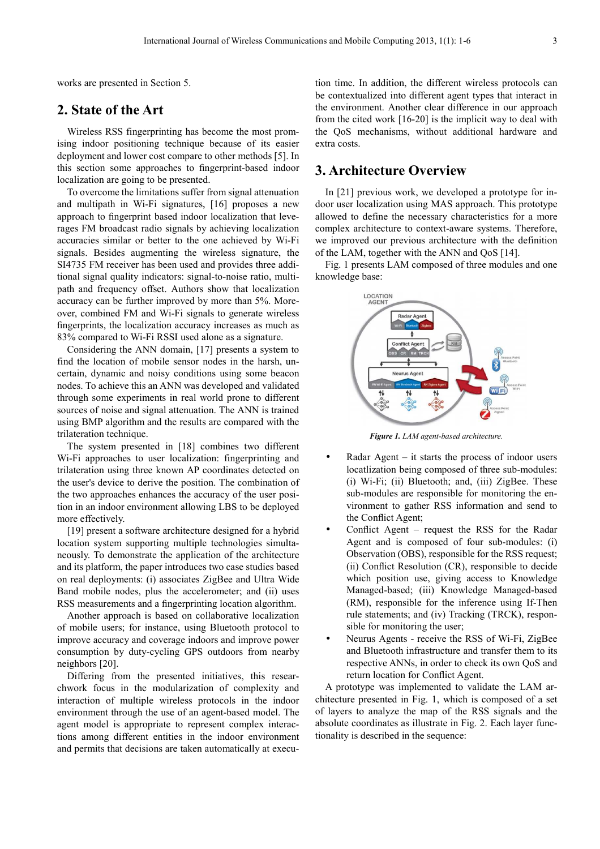works are presented in Section 5.

## **2. State of the Art**

Wireless RSS fingerprinting has become the most promising indoor positioning technique because of its easier deployment and lower cost compare to other methods [5]. In this section some approaches to fingerprint-based indoor localization are going to be presented.

To overcome the limitations suffer from signal attenuation and multipath in Wi-Fi signatures, [16] proposes a new approach to fingerprint based indoor localization that leverages FM broadcast radio signals by achieving localization accuracies similar or better to the one achieved by Wi-Fi signals. Besides augmenting the wireless signature, the SI4735 FM receiver has been used and provides three additional signal quality indicators: signal-to-noise ratio, multipath and frequency offset. Authors show that localization accuracy can be further improved by more than 5%. Moreover, combined FM and Wi-Fi signals to generate wireless fingerprints, the localization accuracy increases as much as 83% compared to Wi-Fi RSSI used alone as a signature.

Considering the ANN domain, [17] presents a system to find the location of mobile sensor nodes in the harsh, uncertain, dynamic and noisy conditions using some beacon nodes. To achieve this an ANN was developed and validated through some experiments in real world prone to different sources of noise and signal attenuation. The ANN is trained using BMP algorithm and the results are compared with the trilateration technique.

The system presented in [18] combines two different Wi-Fi approaches to user localization: fingerprinting and trilateration using three known AP coordinates detected on the user's device to derive the position. The combination of the two approaches enhances the accuracy of the user position in an indoor environment allowing LBS to be deployed more effectively.

[19] present a software architecture designed for a hybrid location system supporting multiple technologies simultaneously. To demonstrate the application of the architecture and its platform, the paper introduces two case studies based on real deployments: (i) associates ZigBee and Ultra Wide Band mobile nodes, plus the accelerometer; and (ii) uses RSS measurements and a fingerprinting location algorithm.

Another approach is based on collaborative localization of mobile users; for instance, using Bluetooth protocol to improve accuracy and coverage indoors and improve power consumption by duty-cycling GPS outdoors from nearby neighbors [20].

Differing from the presented initiatives, this researchwork focus in the modularization of complexity and interaction of multiple wireless protocols in the indoor environment through the use of an agent-based model. The agent model is appropriate to represent complex interactions among different entities in the indoor environment and permits that decisions are taken automatically at execution time. In addition, the different wireless protocols can be contextualized into different agent types that interact in the environment. Another clear difference in our approach from the cited work [16-20] is the implicit way to deal with the QoS mechanisms, without additional hardware and extra costs.

## **3. Architecture Overview**

In [21] previous work, we developed a prototype for indoor user localization using MAS approach. This prototype allowed to define the necessary characteristics for a more complex architecture to context-aware systems. Therefore, we improved our previous architecture with the definition of the LAM, together with the ANN and QoS [14].

Fig. 1 presents LAM composed of three modules and one knowledge base:



*Figure 1. LAM agent-based architecture.* 

- Radar Agent  $-$  it starts the process of indoor users locatlization being composed of three sub-modules: (i) Wi-Fi; (ii) Bluetooth; and, (iii) ZigBee. These sub-modules are responsible for monitoring the environment to gather RSS information and send to the Conflict Agent;
- Conflict Agent request the RSS for the Radar Agent and is composed of four sub-modules: (i) Observation (OBS), responsible for the RSS request; (ii) Conflict Resolution (CR), responsible to decide which position use, giving access to Knowledge Managed-based; (iii) Knowledge Managed-based (RM), responsible for the inference using If-Then rule statements; and (iv) Tracking (TRCK), responsible for monitoring the user;
- Neurus Agents receive the RSS of Wi-Fi, ZigBee and Bluetooth infrastructure and transfer them to its respective ANNs, in order to check its own QoS and return location for Conflict Agent.

A prototype was implemented to validate the LAM architecture presented in Fig. 1, which is composed of a set of layers to analyze the map of the RSS signals and the absolute coordinates as illustrate in Fig. 2. Each layer functionality is described in the sequence: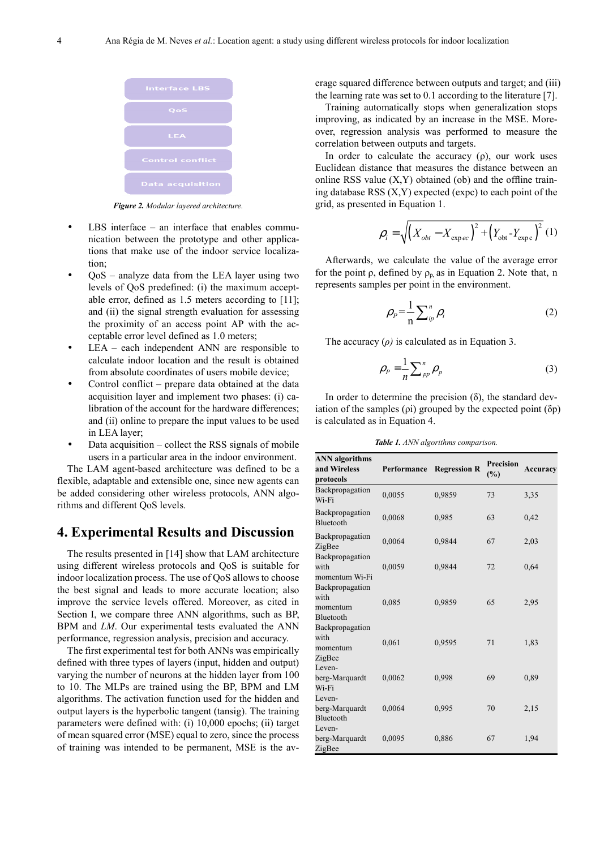

*Figure 2. Modular layered architecture.* 

- $LBS$  interface an interface that enables communication between the prototype and other applications that make use of the indoor service localization;
- QoS analyze data from the LEA layer using two levels of QoS predefined: (i) the maximum acceptable error, defined as 1.5 meters according to [11]; and (ii) the signal strength evaluation for assessing the proximity of an access point AP with the acceptable error level defined as 1.0 meters;
- $LEA each independent ANN are responsible to$ calculate indoor location and the result is obtained from absolute coordinates of users mobile device;
- Control conflict prepare data obtained at the data acquisition layer and implement two phases: (i) calibration of the account for the hardware differences; and (ii) online to prepare the input values to be used in LEA layer;
- Data acquisition collect the RSS signals of mobile users in a particular area in the indoor environment.

The LAM agent-based architecture was defined to be a flexible, adaptable and extensible one, since new agents can be added considering other wireless protocols, ANN algorithms and different QoS levels.

#### **4. Experimental Results and Discussion**

The results presented in [14] show that LAM architecture using different wireless protocols and QoS is suitable for indoor localization process. The use of QoS allows to choose the best signal and leads to more accurate location; also improve the service levels offered. Moreover, as cited in Section I, we compare three ANN algorithms, such as BP, BPM and *LM*. Our experimental tests evaluated the ANN performance, regression analysis, precision and accuracy.

The first experimental test for both ANNs was empirically defined with three types of layers (input, hidden and output) varying the number of neurons at the hidden layer from 100 to 10. The MLPs are trained using the BP, BPM and LM algorithms. The activation function used for the hidden and output layers is the hyperbolic tangent (tansig). The training parameters were defined with: (i) 10,000 epochs; (ii) target of mean squared error (MSE) equal to zero, since the process of training was intended to be permanent, MSE is the average squared difference between outputs and target; and (iii) the learning rate was set to 0.1 according to the literature [7].

Training automatically stops when generalization stops improving, as indicated by an increase in the MSE. Moreover, regression analysis was performed to measure the correlation between outputs and targets.

In order to calculate the accuracy (ρ), our work uses Euclidean distance that measures the distance between an online RSS value  $(X, Y)$  obtained (ob) and the offline training database RSS (X,Y) expected (expc) to each point of the grid, as presented in Equation 1.

$$
\rho_i = \sqrt{\left(X_{\text{obt}} - X_{\text{expec}}\right)^2 + \left(Y_{\text{obt}} - Y_{\text{expc}}\right)^2} \tag{1}
$$

Afterwards, we calculate the value of the average error for the point  $\rho$ , defined by  $\rho_{p}$  as in Equation 2. Note that, n represents samples per point in the environment.

$$
\rho_P = \frac{1}{n} \sum_{ip}^{n} \rho_i \tag{2}
$$

The accuracy (*ρ)* is calculated as in Equation 3.

$$
\rho_P = \frac{1}{n} \sum_{pp}^{n} \rho_p \tag{3}
$$

In order to determine the precision  $(\delta)$ , the standard deviation of the samples  $(\rho i)$  grouped by the expected point  $(\delta p)$ is calculated as in Equation 4.

*Table 1. ANN algorithms comparison.*

| <b>ANN</b> algorithms<br>and Wireless<br>protocols | Performance | <b>Regression R</b> | <b>Precision</b><br>(%) | Accuracy |
|----------------------------------------------------|-------------|---------------------|-------------------------|----------|
| Backpropagation<br>Wi-Fi                           | 0,0055      | 0,9859              | 73                      | 3,35     |
| Backpropagation<br><b>Bluetooth</b>                | 0,0068      | 0,985               | 63                      | 0,42     |
| Backpropagation<br>ZigBee                          | 0,0064      | 0,9844              | 67                      | 2,03     |
| Backpropagation<br>with<br>momentum Wi-Fi          | 0,0059      | 0.9844              | 72                      | 0.64     |
| Backpropagation<br>with<br>momentum<br>Bluetooth   | 0,085       | 0,9859              | 65                      | 2,95     |
| Backpropagation<br>with<br>momentum<br>ZigBee      | 0,061       | 0,9595              | 71                      | 1,83     |
| Leven-<br>berg-Marquardt<br>Wi-Fi                  | 0,0062      | 0,998               | 69                      | 0.89     |
| Leven-<br>berg-Marquardt<br><b>Bluetooth</b>       | 0,0064      | 0,995               | 70                      | 2,15     |
| Leven-<br>berg-Marquardt<br>ZigBee                 | 0,0095      | 0,886               | 67                      | 1,94     |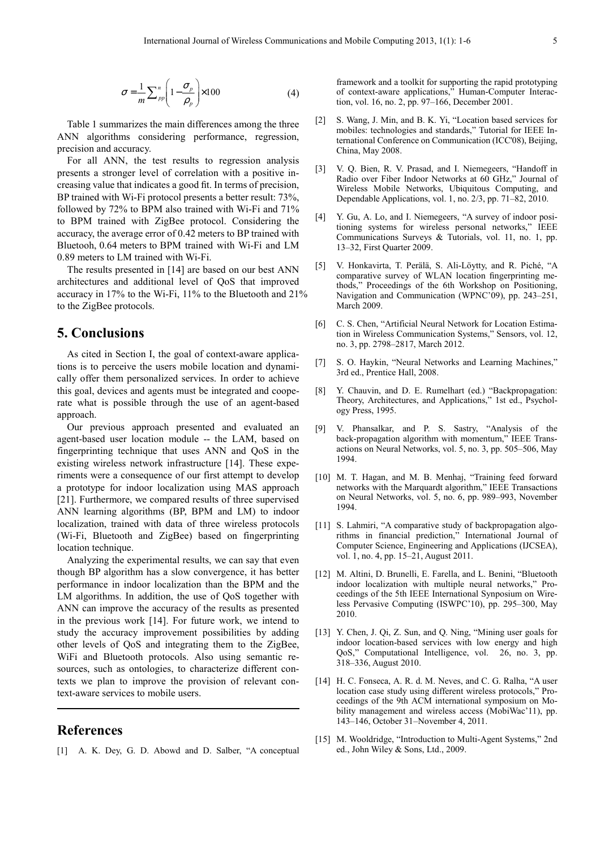$$
\sigma = \frac{1}{m} \sum_{pp}^n \left( 1 - \frac{\sigma_p}{\rho_p} \right) \times 100 \tag{4}
$$

Table 1 summarizes the main differences among the three ANN algorithms considering performance, regression, precision and accuracy.

For all ANN, the test results to regression analysis presents a stronger level of correlation with a positive increasing value that indicates a good fit. In terms of precision, BP trained with Wi-Fi protocol presents a better result: 73%, followed by 72% to BPM also trained with Wi-Fi and 71% to BPM trained with ZigBee protocol. Considering the accuracy, the average error of 0.42 meters to BP trained with Bluetooh, 0.64 meters to BPM trained with Wi-Fi and LM 0.89 meters to LM trained with Wi-Fi.

The results presented in [14] are based on our best ANN architectures and additional level of QoS that improved accuracy in 17% to the Wi-Fi, 11% to the Bluetooth and 21% to the ZigBee protocols.

#### **5. Conclusions**

As cited in Section I, the goal of context-aware applications is to perceive the users mobile location and dynamically offer them personalized services. In order to achieve this goal, devices and agents must be integrated and cooperate what is possible through the use of an agent-based approach.

Our previous approach presented and evaluated an agent-based user location module -- the LAM, based on fingerprinting technique that uses ANN and QoS in the existing wireless network infrastructure [14]. These experiments were a consequence of our first attempt to develop a prototype for indoor localization using MAS approach [21]. Furthermore, we compared results of three supervised ANN learning algorithms (BP, BPM and LM) to indoor localization, trained with data of three wireless protocols (Wi-Fi, Bluetooth and ZigBee) based on fingerprinting location technique.

Analyzing the experimental results, we can say that even though BP algorithm has a slow convergence, it has better performance in indoor localization than the BPM and the LM algorithms. In addition, the use of QoS together with ANN can improve the accuracy of the results as presented in the previous work [14]. For future work, we intend to study the accuracy improvement possibilities by adding other levels of QoS and integrating them to the ZigBee, WiFi and Bluetooth protocols. Also using semantic resources, such as ontologies, to characterize different contexts we plan to improve the provision of relevant context-aware services to mobile users.

## **References**

[1] A. K. Dey, G. D. Abowd and D. Salber, "A conceptual

framework and a toolkit for supporting the rapid prototyping of context-aware applications," Human-Computer Interaction, vol. 16, no. 2, pp. 97–166, December 2001.

- [2] S. Wang, J. Min, and B. K. Yi, "Location based services for mobiles: technologies and standards," Tutorial for IEEE International Conference on Communication (ICC'08), Beijing, China, May 2008.
- [3] V. Q. Bien, R. V. Prasad, and I. Niemegeers, "Handoff in Radio over Fiber Indoor Networks at 60 GHz," Journal of Wireless Mobile Networks, Ubiquitous Computing, and Dependable Applications, vol. 1, no. 2/3, pp. 71–82, 2010.
- [4] Y. Gu, A. Lo, and I. Niemegeers, "A survey of indoor positioning systems for wireless personal networks," IEEE Communications Surveys & Tutorials, vol. 11, no. 1, pp. 13–32, First Quarter 2009.
- [5] V. Honkavirta, T. Perälä, S. Ali-Löytty, and R. Piché, "A comparative survey of WLAN location fingerprinting methods," Proceedings of the 6th Workshop on Positioning, Navigation and Communication (WPNC'09), pp. 243–251, March 2009.
- [6] C. S. Chen, "Artificial Neural Network for Location Estimation in Wireless Communication Systems," Sensors, vol. 12, no. 3, pp. 2798–2817, March 2012.
- [7] S. O. Haykin, "Neural Networks and Learning Machines," 3rd ed., Prentice Hall, 2008.
- [8] Y. Chauvin, and D. E. Rumelhart (ed.) "Backpropagation: Theory, Architectures, and Applications," 1st ed., Psychology Press, 1995.
- [9] V. Phansalkar, and P. S. Sastry, "Analysis of the back-propagation algorithm with momentum," IEEE Transactions on Neural Networks, vol. 5, no. 3, pp. 505–506, May 1994.
- [10] M. T. Hagan, and M. B. Menhaj, "Training feed forward networks with the Marquardt algorithm," IEEE Transactions on Neural Networks, vol. 5, no. 6, pp. 989–993, November 1994.
- [11] S. Lahmiri, "A comparative study of backpropagation algorithms in financial prediction," International Journal of Computer Science, Engineering and Applications (IJCSEA), vol. 1, no. 4, pp. 15–21, August 2011.
- [12] M. Altini, D. Brunelli, E. Farella, and L. Benini, "Bluetooth indoor localization with multiple neural networks," Proceedings of the 5th IEEE International Synposium on Wireless Pervasive Computing (ISWPC'10), pp. 295–300, May 2010.
- [13] Y. Chen, J. Qi, Z. Sun, and Q. Ning, "Mining user goals for indoor location-based services with low energy and high QoS," Computational Intelligence, vol. 26, no. 3, pp. 318–336, August 2010.
- [14] H. C. Fonseca, A. R. d. M. Neves, and C. G. Ralha, "A user location case study using different wireless protocols," Proceedings of the 9th ACM international symposium on Mobility management and wireless access (MobiWac'11), pp. 143–146, October 31–November 4, 2011.
- [15] M. Wooldridge, "Introduction to Multi-Agent Systems," 2nd ed., John Wiley & Sons, Ltd., 2009.